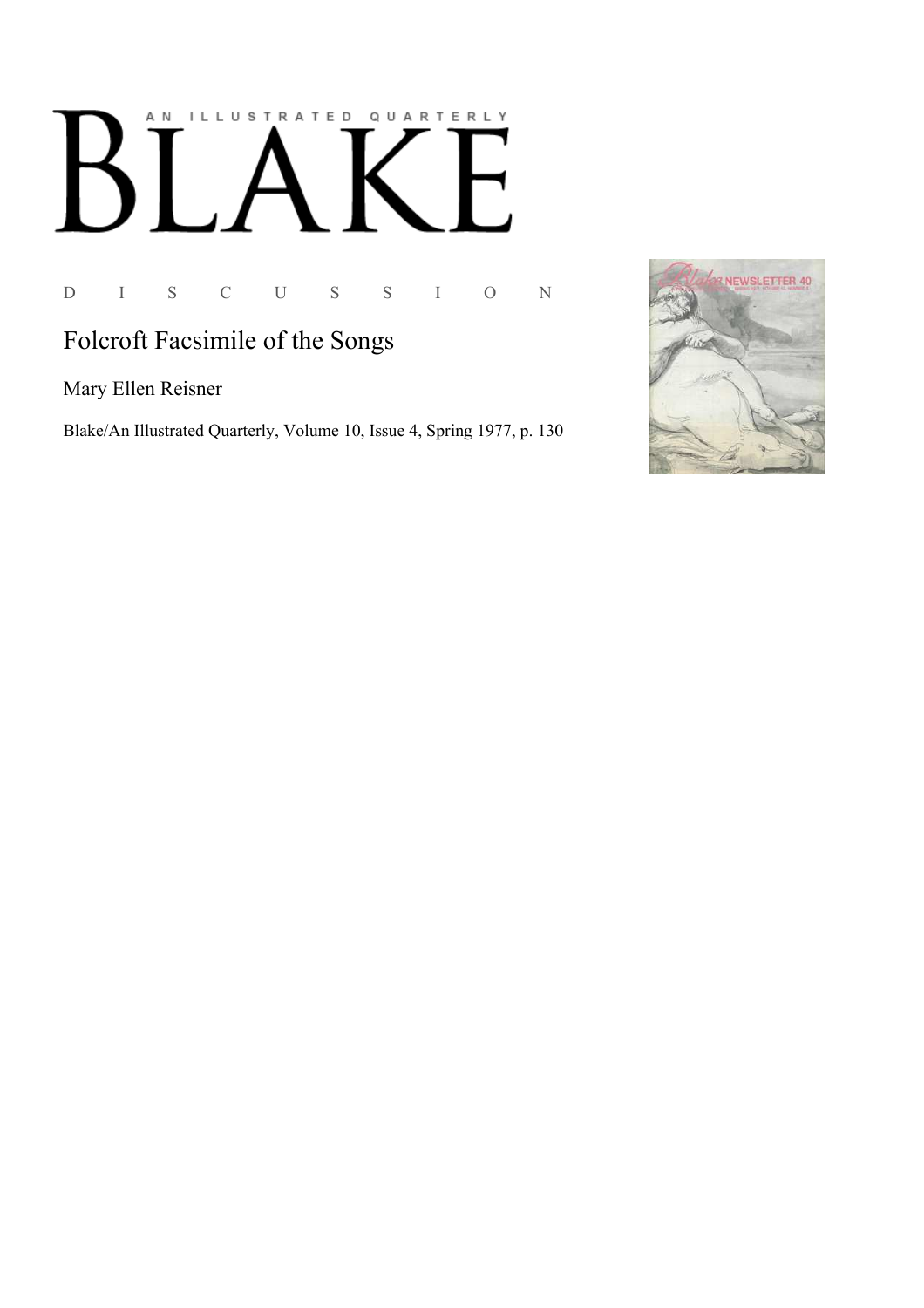# AN ILLUSTRATED QUARTERLY  $\lceil~\rfloor$  $\mathbf B$

D I S C U S S I O N

## Folcroft Facsimile of the Songs

Mary Ellen Reisner

Blake/An Illustrated Quarterly, Volume 10, Issue 4, Spring 1977, p. 130